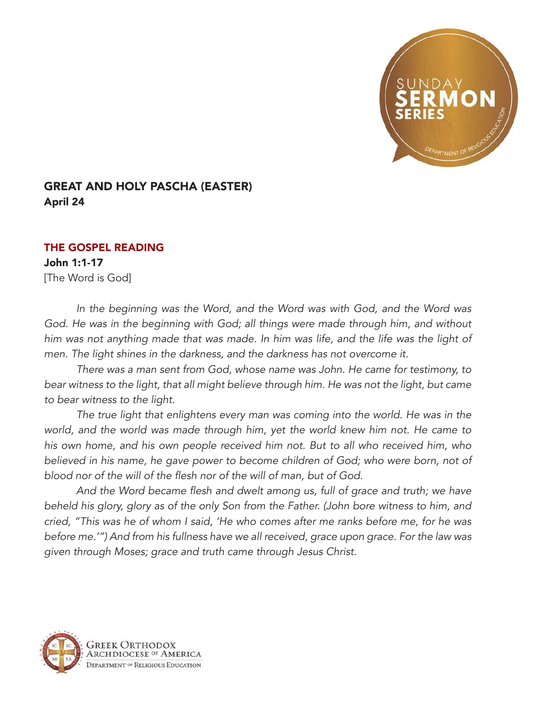

## GREAT AND HOLY PASCHA (EASTER) April 24

## THE GOSPEL READING

John 1:1-17 [The Word is God]

*In the beginning was the Word, and the Word was with God, and the Word was*  God. He was in the beginning with God; all things were made through him, and without *him was not anything made that was made. In him was life, and the life was the light of men. The light shines in the darkness, and the darkness has not overcome it.*

*There was a man sent from God, whose name was John. He came for testimony, to bear witness to the light, that all might believe through him. He was not the light, but came to bear witness to the light.*

*The true light that enlightens every man was coming into the world. He was in the world, and the world was made through him, yet the world knew him not. He came to his own home, and his own people received him not. But to all who received him, who believed in his name, he gave power to become children of God; who were born, not of*  blood nor of the will of the flesh nor of the will of man, but of God.

And the Word became flesh and dwelt among us, full of grace and truth; we have *beheld his glory, glory as of the only Son from the Father. (John bore witness to him, and cried, "This was he of whom I said, 'He who comes after me ranks before me, for he was before me.'") And from his fullness have we all received, grace upon grace. For the law was given through Moses; grace and truth came through Jesus Christ.*

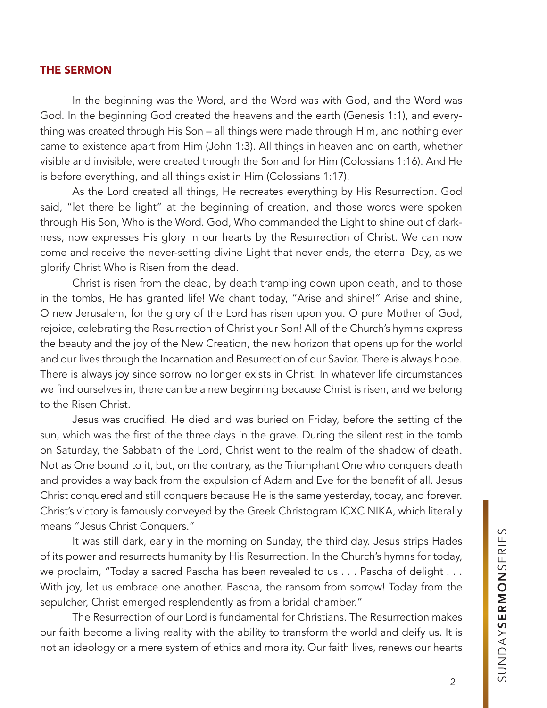## THE SERMON

In the beginning was the Word, and the Word was with God, and the Word was God. In the beginning God created the heavens and the earth (Genesis 1:1), and everything was created through His Son – all things were made through Him, and nothing ever came to existence apart from Him (John 1:3). All things in heaven and on earth, whether visible and invisible, were created through the Son and for Him (Colossians 1:16). And He is before everything, and all things exist in Him (Colossians 1:17).

As the Lord created all things, He recreates everything by His Resurrection. God said, "let there be light" at the beginning of creation, and those words were spoken through His Son, Who is the Word. God, Who commanded the Light to shine out of darkness, now expresses His glory in our hearts by the Resurrection of Christ. We can now come and receive the never-setting divine Light that never ends, the eternal Day, as we glorify Christ Who is Risen from the dead.

Christ is risen from the dead, by death trampling down upon death, and to those in the tombs, He has granted life! We chant today, "Arise and shine!" Arise and shine, O new Jerusalem, for the glory of the Lord has risen upon you. O pure Mother of God, rejoice, celebrating the Resurrection of Christ your Son! All of the Church's hymns express the beauty and the joy of the New Creation, the new horizon that opens up for the world and our lives through the Incarnation and Resurrection of our Savior. There is always hope. There is always joy since sorrow no longer exists in Christ. In whatever life circumstances we find ourselves in, there can be a new beginning because Christ is risen, and we belong to the Risen Christ.

Jesus was crucified. He died and was buried on Friday, before the setting of the sun, which was the first of the three days in the grave. During the silent rest in the tomb on Saturday, the Sabbath of the Lord, Christ went to the realm of the shadow of death. Not as One bound to it, but, on the contrary, as the Triumphant One who conquers death and provides a way back from the expulsion of Adam and Eve for the benefit of all. Jesus Christ conquered and still conquers because He is the same yesterday, today, and forever. Christ's victory is famously conveyed by the Greek Christogram ICXC NIKA, which literally means "Jesus Christ Conquers."

It was still dark, early in the morning on Sunday, the third day. Jesus strips Hades of its power and resurrects humanity by His Resurrection. In the Church's hymns for today, we proclaim, "Today a sacred Pascha has been revealed to us . . . Pascha of delight . . . With joy, let us embrace one another. Pascha, the ransom from sorrow! Today from the sepulcher, Christ emerged resplendently as from a bridal chamber."

The Resurrection of our Lord is fundamental for Christians. The Resurrection makes our faith become a living reality with the ability to transform the world and deify us. It is not an ideology or a mere system of ethics and morality. Our faith lives, renews our hearts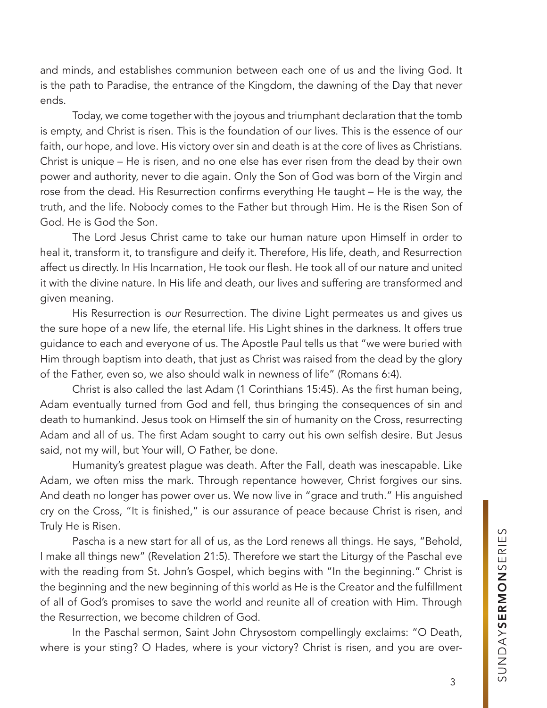and minds, and establishes communion between each one of us and the living God. It is the path to Paradise, the entrance of the Kingdom, the dawning of the Day that never ends.

Today, we come together with the joyous and triumphant declaration that the tomb is empty, and Christ is risen. This is the foundation of our lives. This is the essence of our faith, our hope, and love. His victory over sin and death is at the core of lives as Christians. Christ is unique – He is risen, and no one else has ever risen from the dead by their own power and authority, never to die again. Only the Son of God was born of the Virgin and rose from the dead. His Resurrection confirms everything He taught – He is the way, the truth, and the life. Nobody comes to the Father but through Him. He is the Risen Son of God. He is God the Son.

The Lord Jesus Christ came to take our human nature upon Himself in order to heal it, transform it, to transfigure and deify it. Therefore, His life, death, and Resurrection affect us directly. In His Incarnation, He took our flesh. He took all of our nature and united it with the divine nature. In His life and death, our lives and suffering are transformed and given meaning.

His Resurrection is *our* Resurrection. The divine Light permeates us and gives us the sure hope of a new life, the eternal life. His Light shines in the darkness. It offers true guidance to each and everyone of us. The Apostle Paul tells us that "we were buried with Him through baptism into death, that just as Christ was raised from the dead by the glory of the Father, even so, we also should walk in newness of life" (Romans 6:4).

Christ is also called the last Adam (1 Corinthians 15:45). As the first human being, Adam eventually turned from God and fell, thus bringing the consequences of sin and death to humankind. Jesus took on Himself the sin of humanity on the Cross, resurrecting Adam and all of us. The first Adam sought to carry out his own selfish desire. But Jesus said, not my will, but Your will, O Father, be done.

Humanity's greatest plague was death. After the Fall, death was inescapable. Like Adam, we often miss the mark. Through repentance however, Christ forgives our sins. And death no longer has power over us. We now live in "grace and truth." His anguished cry on the Cross, "It is finished," is our assurance of peace because Christ is risen, and Truly He is Risen.

Pascha is a new start for all of us, as the Lord renews all things. He says, "Behold, I make all things new" (Revelation 21:5). Therefore we start the Liturgy of the Paschal eve with the reading from St. John's Gospel, which begins with "In the beginning." Christ is the beginning and the new beginning of this world as He is the Creator and the fulfillment of all of God's promises to save the world and reunite all of creation with Him. Through the Resurrection, we become children of God.

In the Paschal sermon, Saint John Chrysostom compellingly exclaims: "O Death, where is your sting? O Hades, where is your victory? Christ is risen, and you are over